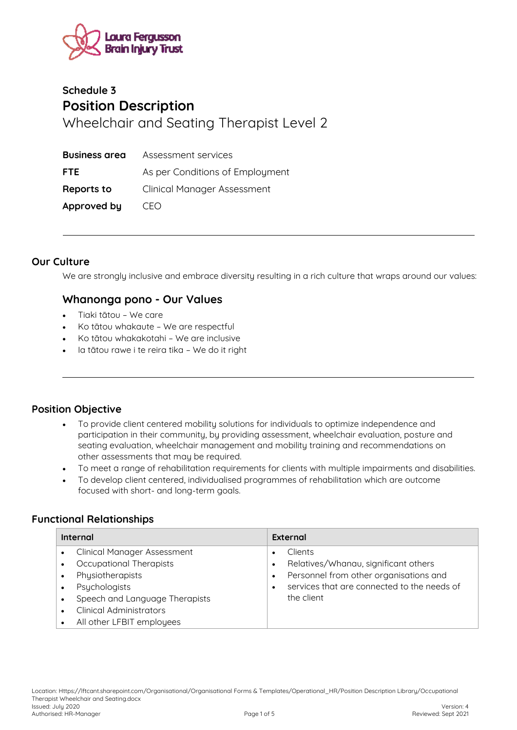

# **Schedule 3 Position Description**  Wheelchair and Seating Therapist Level 2

| <b>Business area</b> | Assessment services                |
|----------------------|------------------------------------|
| <b>FTE</b>           | As per Conditions of Employment    |
| <b>Reports to</b>    | <b>Clinical Manager Assessment</b> |
| Approved by          | CFO                                |

#### **Our Culture**

We are strongly inclusive and embrace diversity resulting in a rich culture that wraps around our values:

### **Whanonga pono - Our Values**

- Tiaki tātou We care
- Ko tātou whakaute We are respectful
- Ko tātou whakakotahi We are inclusive
- Ia tātou rawe i te reira tika We do it right

### **Position Objective**

- To provide client centered mobility solutions for individuals to optimize independence and participation in their community, by providing assessment, wheelchair evaluation, posture and seating evaluation, wheelchair management and mobility training and recommendations on other assessments that may be required.
- To meet a range of rehabilitation requirements for clients with multiple impairments and disabilities.
- To develop client centered, individualised programmes of rehabilitation which are outcome focused with short- and long-term goals.

### **Functional Relationships**

| Internal |                                    | <b>External</b> |                                             |  |
|----------|------------------------------------|-----------------|---------------------------------------------|--|
|          | <b>Clinical Manager Assessment</b> |                 | <b>Clients</b>                              |  |
|          | Occupational Therapists            |                 | Relatives/Whanau, significant others        |  |
|          | Physiotherapists                   |                 | Personnel from other organisations and      |  |
|          | Psychologists                      |                 | services that are connected to the needs of |  |
|          | Speech and Language Therapists     |                 | the client                                  |  |
|          | <b>Clinical Administrators</b>     |                 |                                             |  |
|          | All other LFBIT employees          |                 |                                             |  |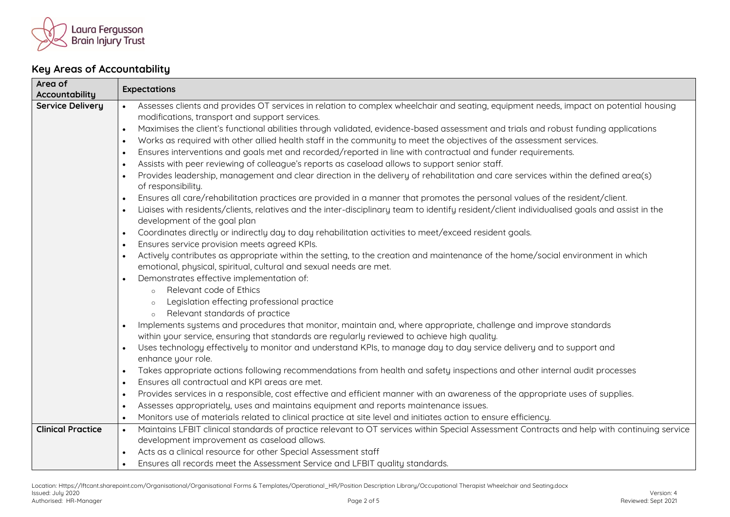

## **Key Areas of Accountability**

| Area of                  | <b>Expectations</b>                                                                                                                                       |  |
|--------------------------|-----------------------------------------------------------------------------------------------------------------------------------------------------------|--|
| Accountability           |                                                                                                                                                           |  |
| <b>Service Delivery</b>  | Assesses clients and provides OT services in relation to complex wheelchair and seating, equipment needs, impact on potential housing<br>$\bullet$        |  |
|                          | modifications, transport and support services.                                                                                                            |  |
|                          | Maximises the client's functional abilities through validated, evidence-based assessment and trials and robust funding applications<br>$\bullet$          |  |
|                          | Works as required with other allied health staff in the community to meet the objectives of the assessment services.<br>$\bullet$                         |  |
|                          | Ensures interventions and goals met and recorded/reported in line with contractual and funder requirements.<br>$\bullet$                                  |  |
|                          | Assists with peer reviewing of colleague's reports as caseload allows to support senior staff.<br>$\bullet$                                               |  |
|                          | Provides leadership, management and clear direction in the delivery of rehabilitation and care services within the defined area(s)<br>$\bullet$           |  |
|                          | of responsibility.                                                                                                                                        |  |
|                          | Ensures all care/rehabilitation practices are provided in a manner that promotes the personal values of the resident/client.<br>$\bullet$                 |  |
|                          | Liaises with residents/clients, relatives and the inter-disciplinary team to identify resident/client individualised goals and assist in the<br>$\bullet$ |  |
|                          | development of the goal plan                                                                                                                              |  |
|                          | Coordinates directly or indirectly day to day rehabilitation activities to meet/exceed resident goals.<br>$\bullet$                                       |  |
|                          | Ensures service provision meets agreed KPIs.<br>$\bullet$                                                                                                 |  |
|                          | Actively contributes as appropriate within the setting, to the creation and maintenance of the home/social environment in which<br>$\bullet$              |  |
|                          | emotional, physical, spiritual, cultural and sexual needs are met.                                                                                        |  |
|                          | Demonstrates effective implementation of:<br>$\bullet$                                                                                                    |  |
|                          | Relevant code of Ethics<br>$\circ$                                                                                                                        |  |
|                          | Legislation effecting professional practice                                                                                                               |  |
|                          | Relevant standards of practice                                                                                                                            |  |
|                          | Implements systems and procedures that monitor, maintain and, where appropriate, challenge and improve standards                                          |  |
|                          | within your service, ensuring that standards are regularly reviewed to achieve high quality.                                                              |  |
|                          | Uses technology effectively to monitor and understand KPIs, to manage day to day service delivery and to support and<br>$\bullet$                         |  |
|                          | enhance your role.                                                                                                                                        |  |
|                          | Takes appropriate actions following recommendations from health and safety inspections and other internal audit processes<br>$\bullet$                    |  |
|                          | Ensures all contractual and KPI areas are met.<br>$\bullet$                                                                                               |  |
|                          | Provides services in a responsible, cost effective and efficient manner with an awareness of the appropriate uses of supplies.<br>$\bullet$               |  |
|                          | Assesses appropriately, uses and maintains equipment and reports maintenance issues.<br>$\bullet$                                                         |  |
|                          | Monitors use of materials related to clinical practice at site level and initiates action to ensure efficiency.<br>$\bullet$                              |  |
| <b>Clinical Practice</b> | Maintains LFBIT clinical standards of practice relevant to OT services within Special Assessment Contracts and help with continuing service<br>$\bullet$  |  |
|                          | development improvement as caseload allows.                                                                                                               |  |
|                          | Acts as a clinical resource for other Special Assessment staff<br>$\bullet$                                                                               |  |
|                          | Ensures all records meet the Assessment Service and LFBIT quality standards.<br>$\bullet$                                                                 |  |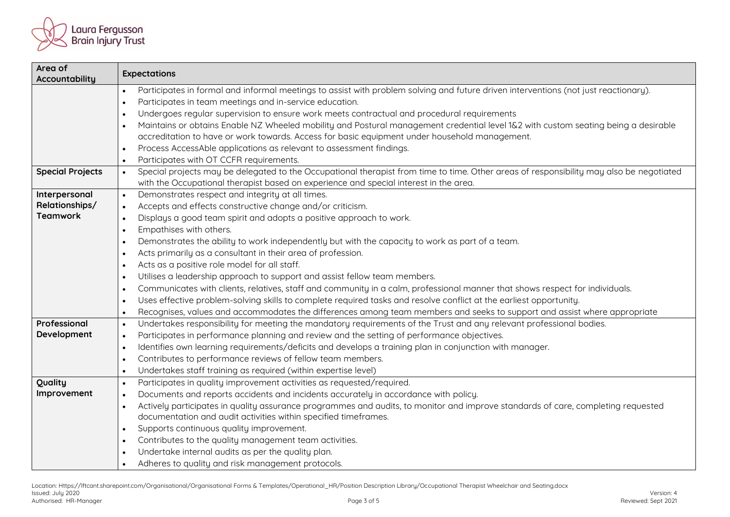

| Area of<br>Accountability | <b>Expectations</b>                                                                                                                                                                                              |  |  |  |
|---------------------------|------------------------------------------------------------------------------------------------------------------------------------------------------------------------------------------------------------------|--|--|--|
|                           | Participates in formal and informal meetings to assist with problem solving and future driven interventions (not just reactionary).<br>$\bullet$                                                                 |  |  |  |
|                           | Participates in team meetings and in-service education.<br>$\bullet$                                                                                                                                             |  |  |  |
|                           | Undergoes regular supervision to ensure work meets contractual and procedural requirements<br>$\bullet$                                                                                                          |  |  |  |
|                           | Maintains or obtains Enable NZ Wheeled mobility and Postural management credential level 1&2 with custom seating being a desirable<br>$\bullet$                                                                  |  |  |  |
|                           | accreditation to have or work towards. Access for basic equipment under household management.                                                                                                                    |  |  |  |
|                           | Process AccessAble applications as relevant to assessment findings.<br>$\bullet$                                                                                                                                 |  |  |  |
|                           | Participates with OT CCFR requirements.<br>$\bullet$                                                                                                                                                             |  |  |  |
| <b>Special Projects</b>   | Special projects may be delegated to the Occupational therapist from time to time. Other areas of responsibility may also be negotiated<br>$\bullet$                                                             |  |  |  |
|                           | with the Occupational therapist based on experience and special interest in the area.                                                                                                                            |  |  |  |
| Interpersonal             | Demonstrates respect and integrity at all times.<br>$\bullet$                                                                                                                                                    |  |  |  |
| Relationships/            | Accepts and effects constructive change and/or criticism.<br>$\bullet$                                                                                                                                           |  |  |  |
| <b>Teamwork</b>           | Displays a good team spirit and adopts a positive approach to work.<br>$\bullet$                                                                                                                                 |  |  |  |
|                           | Empathises with others.<br>$\bullet$                                                                                                                                                                             |  |  |  |
|                           | Demonstrates the ability to work independently but with the capacity to work as part of a team.<br>$\bullet$                                                                                                     |  |  |  |
|                           | Acts primarily as a consultant in their area of profession.<br>$\bullet$                                                                                                                                         |  |  |  |
|                           | Acts as a positive role model for all staff.                                                                                                                                                                     |  |  |  |
|                           | Utilises a leadership approach to support and assist fellow team members.<br>$\bullet$                                                                                                                           |  |  |  |
|                           | Communicates with clients, relatives, staff and community in a calm, professional manner that shows respect for individuals.<br>$\bullet$                                                                        |  |  |  |
|                           | Uses effective problem-solving skills to complete required tasks and resolve conflict at the earliest opportunity.<br>$\bullet$                                                                                  |  |  |  |
|                           | Recognises, values and accommodates the differences among team members and seeks to support and assist where appropriate<br>$\bullet$                                                                            |  |  |  |
| Professional              | Undertakes responsibility for meeting the mandatory requirements of the Trust and any relevant professional bodies.<br>$\bullet$                                                                                 |  |  |  |
| Development               | Participates in performance planning and review and the setting of performance objectives.<br>$\bullet$                                                                                                          |  |  |  |
|                           | Identifies own learning requirements/deficits and develops a training plan in conjunction with manager.<br>$\bullet$                                                                                             |  |  |  |
|                           | Contributes to performance reviews of fellow team members.<br>$\bullet$                                                                                                                                          |  |  |  |
|                           | Undertakes staff training as required (within expertise level)<br>$\bullet$                                                                                                                                      |  |  |  |
| Quality                   | Participates in quality improvement activities as requested/required.<br>$\bullet$                                                                                                                               |  |  |  |
| Improvement               | Documents and reports accidents and incidents accurately in accordance with policy.<br>$\bullet$                                                                                                                 |  |  |  |
|                           | Actively participates in quality assurance programmes and audits, to monitor and improve standards of care, completing requested<br>$\bullet$<br>documentation and audit activities within specified timeframes. |  |  |  |
|                           | Supports continuous quality improvement.<br>$\bullet$                                                                                                                                                            |  |  |  |
|                           | Contributes to the quality management team activities.<br>$\bullet$                                                                                                                                              |  |  |  |
|                           | Undertake internal audits as per the quality plan.<br>$\bullet$                                                                                                                                                  |  |  |  |
|                           | Adheres to quality and risk management protocols.<br>$\bullet$                                                                                                                                                   |  |  |  |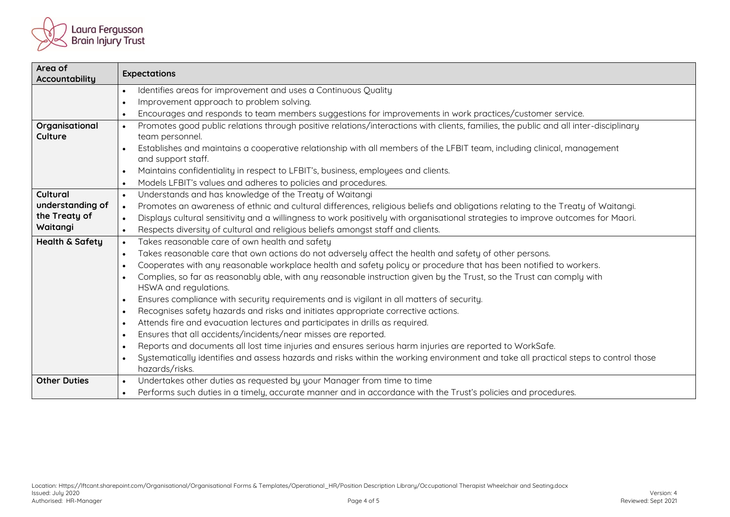

| Area of<br><b>Accountability</b>                                                                                                              | <b>Expectations</b>                                                                                                                                                  |  |  |  |
|-----------------------------------------------------------------------------------------------------------------------------------------------|----------------------------------------------------------------------------------------------------------------------------------------------------------------------|--|--|--|
|                                                                                                                                               | Identifies areas for improvement and uses a Continuous Quality<br>$\bullet$                                                                                          |  |  |  |
|                                                                                                                                               | Improvement approach to problem solving.<br>$\bullet$                                                                                                                |  |  |  |
|                                                                                                                                               | Encourages and responds to team members suggestions for improvements in work practices/customer service.<br>$\bullet$                                                |  |  |  |
| Organisational<br>Culture                                                                                                                     | Promotes good public relations through positive relations/interactions with clients, families, the public and all inter-disciplinary<br>$\bullet$<br>team personnel. |  |  |  |
| Establishes and maintains a cooperative relationship with all members of the LFBIT team, including clinical, management<br>and support staff. |                                                                                                                                                                      |  |  |  |
|                                                                                                                                               | Maintains confidentiality in respect to LFBIT's, business, employees and clients.<br>$\bullet$                                                                       |  |  |  |
|                                                                                                                                               | Models LFBIT's values and adheres to policies and procedures.<br>$\bullet$                                                                                           |  |  |  |
| Cultural                                                                                                                                      | Understands and has knowledge of the Treaty of Waitangi<br>$\bullet$                                                                                                 |  |  |  |
| understanding of                                                                                                                              | Promotes an awareness of ethnic and cultural differences, religious beliefs and obligations relating to the Treaty of Waitangi.<br>$\bullet$                         |  |  |  |
| the Treaty of                                                                                                                                 | Displays cultural sensitivity and a willingness to work positively with organisational strategies to improve outcomes for Maori.<br>$\bullet$                        |  |  |  |
| Waitangi                                                                                                                                      | Respects diversity of cultural and religious beliefs amongst staff and clients.<br>$\bullet$                                                                         |  |  |  |
| <b>Health &amp; Safety</b>                                                                                                                    | Takes reasonable care of own health and safety<br>$\bullet$                                                                                                          |  |  |  |
|                                                                                                                                               | Takes reasonable care that own actions do not adversely affect the health and safety of other persons.<br>$\bullet$                                                  |  |  |  |
|                                                                                                                                               | Cooperates with any reasonable workplace health and safety policy or procedure that has been notified to workers.<br>$\bullet$                                       |  |  |  |
|                                                                                                                                               | Complies, so far as reasonably able, with any reasonable instruction given by the Trust, so the Trust can comply with<br>$\bullet$<br>HSWA and regulations.          |  |  |  |
|                                                                                                                                               | Ensures compliance with security requirements and is vigilant in all matters of security.<br>$\bullet$                                                               |  |  |  |
| Recognises safety hazards and risks and initiates appropriate corrective actions.<br>$\bullet$                                                |                                                                                                                                                                      |  |  |  |
| Attends fire and evacuation lectures and participates in drills as required.<br>$\bullet$                                                     |                                                                                                                                                                      |  |  |  |
|                                                                                                                                               | Ensures that all accidents/incidents/near misses are reported.<br>$\bullet$                                                                                          |  |  |  |
|                                                                                                                                               | Reports and documents all lost time injuries and ensures serious harm injuries are reported to WorkSafe.<br>$\bullet$                                                |  |  |  |
|                                                                                                                                               | Systematically identifies and assess hazards and risks within the working environment and take all practical steps to control those<br>$\bullet$<br>hazards/risks.   |  |  |  |
| <b>Other Duties</b>                                                                                                                           | Undertakes other duties as requested by your Manager from time to time<br>$\bullet$                                                                                  |  |  |  |
|                                                                                                                                               | Performs such duties in a timely, accurate manner and in accordance with the Trust's policies and procedures.<br>$\bullet$                                           |  |  |  |